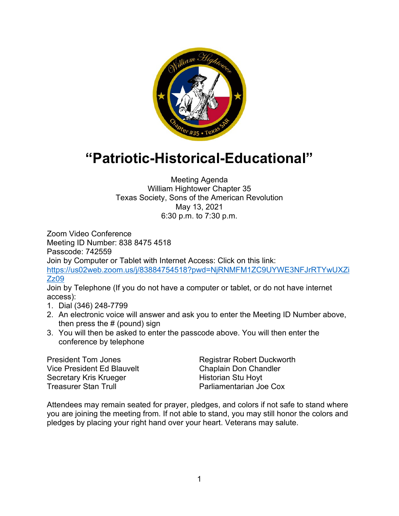

## **"Patriotic-Historical-Educational"**

Meeting Agenda William Hightower Chapter 35 Texas Society, Sons of the American Revolution May 13, 2021 6:30 p.m. to 7:30 p.m.

Zoom Video Conference Meeting ID Number: 838 8475 4518 Passcode: 742559 Join by Computer or Tablet with Internet Access: Click on this link: [https://us02web.zoom.us/j/83884754518?pwd=NjRNMFM1ZC9UYWE3NFJrRTYwUXZi](https://us02web.zoom.us/j/83884754518?pwd=NjRNMFM1ZC9UYWE3NFJrRTYwUXZiZz09) [Zz09](https://us02web.zoom.us/j/83884754518?pwd=NjRNMFM1ZC9UYWE3NFJrRTYwUXZiZz09)

Join by Telephone (If you do not have a computer or tablet, or do not have internet access):

- 1. Dial (346) 248-7799
- 2. An electronic voice will answer and ask you to enter the Meeting ID Number above, then press the  $#$  (pound) sign
- 3. You will then be asked to enter the passcode above. You will then enter the conference by telephone

President Tom Jones Registrar Robert Duckworth Vice President Ed Blauvelt Chaplain Don Chandler Secretary Kris Krueger **Historian Stu Hoyt** Treasurer Stan Trull Parliamentarian Joe Cox

Attendees may remain seated for prayer, pledges, and colors if not safe to stand where you are joining the meeting from. If not able to stand, you may still honor the colors and pledges by placing your right hand over your heart. Veterans may salute.